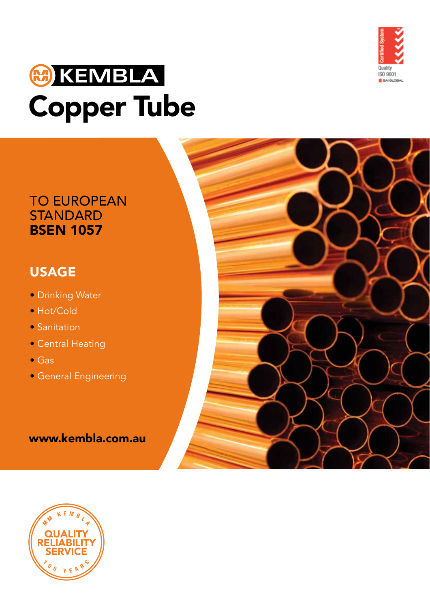

# **MOKEMBLA Copper Tube**

### TO EUROPEAN **STANDARD BSEN 1057**

## USAGE

- Drinking Water
- Hot/Cold
- Sanitation
- Central Heating
- Gas
- General Engineering

### www.kembla.com.au

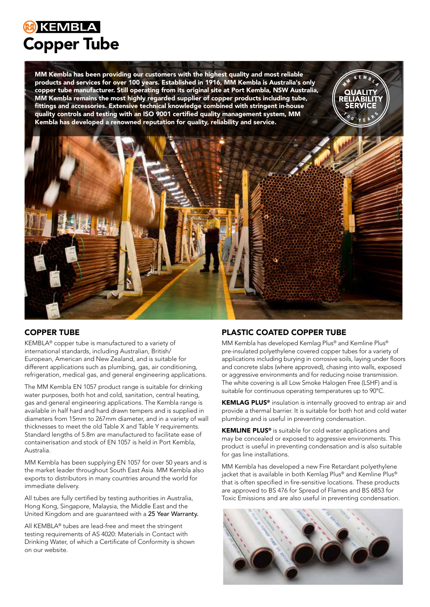# **KEMBLA Copper Tube**

MM Kembla has been providing our customers with the highest quality and most reliable products and services for over 100 years. Established in 1916, MM Kembla is Australia's only copper tube manufacturer. Still operating from its original site at Port Kembla, NSW Australia, MM Kembla remains the most highly regarded supplier of copper products including tube, fittings and accessories. Extensive technical knowledge combined with stringent in-house quality controls and testing with an ISO 9001 certified quality management system, MM Kembla has developed a renowned reputation for quality, reliability and service.



### COPPER TUBE

KEMBLA® copper tube is manufactured to a variety of international standards, including Australian, British/ European, American and New Zealand, and is suitable for different applications such as plumbing, gas, air conditioning, refrigeration, medical gas, and general engineering applications.

The MM Kembla EN 1057 product range is suitable for drinking water purposes, both hot and cold, sanitation, central heating, gas and general engineering applications. The Kembla range is available in half hard and hard drawn tempers and is supplied in diameters from 15mm to 267mm diameter, and in a variety of wall thicknesses to meet the old Table X and Table Y requirements. Standard lengths of 5.8m are manufactured to facilitate ease of containerisation and stock of EN 1057 is held in Port Kembla, Australia.

MM Kembla has been supplying EN 1057 for over 50 years and is the market leader throughout South East Asia. MM Kembla also exports to distributors in many countries around the world for immediate delivery.

All tubes are fully certified by testing authorities in Australia, Hong Kong, Singapore, Malaysia, the Middle East and the United Kingdom and are guaranteed with a 25 Year Warranty.

All KEMBLA® tubes are lead-free and meet the stringent testing requirements of AS 4020: Materials in Contact with Drinking Water, of which a Certificate of Conformity is shown on our website.

### PLASTIC COATED COPPER TUBE

MM Kembla has developed Kemlag Plus® and Kemline Plus® pre-insulated polyethylene covered copper tubes for a variety of applications including burying in corrosive soils, laying under floors and concrete slabs (where approved), chasing into walls, exposed or aggressive environments and for reducing noise transmission. The white covering is all Low Smoke Halogen Free (LSHF) and is suitable for continuous operating temperatures up to 90°C.

KEMLAG PLUS<sup>®</sup> insulation is internally grooved to entrap air and provide a thermal barrier. It is suitable for both hot and cold water plumbing and is useful in preventing condensation.

KEMLINE PLUS® is suitable for cold water applications and may be concealed or exposed to aggressive environments. This product is useful in preventing condensation and is also suitable for gas line installations.

MM Kembla has developed a new Fire Retardant polyethylene jacket that is available in both Kemlag Plus® and Kemline Plus® that is often specified in fire-sensitive locations. These products are approved to BS 476 for Spread of Flames and BS 6853 for Toxic Emissions and are also useful in preventing condensation.

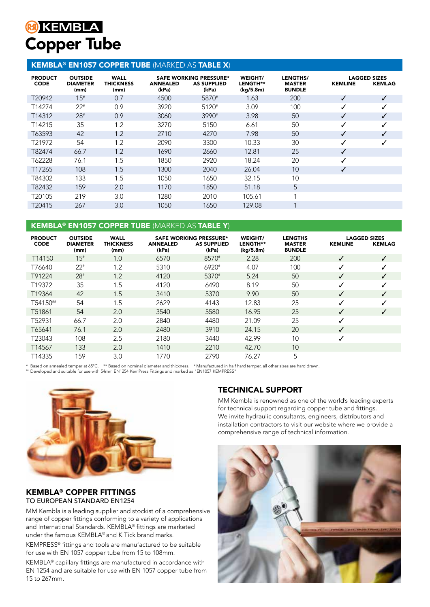# **M**<br>KEMBLA **Copper Tube**

### KEMBLA® EN1057 COPPER TUBE (MARKED AS TABLE X)

| <b>PRODUCT</b><br><b>CODE</b> | <b>OUTSIDE</b><br><b>DIAMETER</b><br>(mm) | <b>WALL</b><br><b>THICKNESS</b><br>(mm) | <b>ANNEALED</b><br>(kPa) | <b>SAFE WORKING PRESSURE*</b><br><b>AS SUPPLIED</b><br>(kPa) | WEIGHT/<br><b>LENGTH**</b><br>(kg/5.8m) | LENGTHS/<br><b>MASTER</b><br><b>BUNDLE</b> | <b>KEMLINE</b> | <b>LAGGED SIZES</b><br><b>KEMLAG</b> |
|-------------------------------|-------------------------------------------|-----------------------------------------|--------------------------|--------------------------------------------------------------|-----------------------------------------|--------------------------------------------|----------------|--------------------------------------|
| T20942                        | 15#                                       | 0.7                                     | 4500                     | 5870#                                                        | 1.63                                    | 200                                        | ✓              |                                      |
| T14274                        | $22*$                                     | 0.9                                     | 3920                     | 5120#                                                        | 3.09                                    | 100                                        | ✓              |                                      |
| T14312                        | $28*$                                     | 0.9                                     | 3060                     | 3990#                                                        | 3.98                                    | 50                                         | ✓              |                                      |
| T14215                        | 35                                        | 1.2                                     | 3270                     | 5150                                                         | 6.61                                    | 50                                         | ✓              |                                      |
| T63593                        | 42                                        | 1.2                                     | 2710                     | 4270                                                         | 7.98                                    | 50                                         | J              | ✓                                    |
| T21972                        | 54                                        | 1.2                                     | 2090                     | 3300                                                         | 10.33                                   | 30                                         | ✓              |                                      |
| T82474                        | 66.7                                      | 1.2                                     | 1690                     | 2660                                                         | 12.81                                   | 25                                         | ✓              |                                      |
| T62228                        | 76.1                                      | 1.5                                     | 1850                     | 2920                                                         | 18.24                                   | 20                                         |                |                                      |
| T17265                        | 108                                       | 1.5                                     | 1300                     | 2040                                                         | 26.04                                   | 10                                         | ✓              |                                      |
| T84302                        | 133                                       | 1.5                                     | 1050                     | 1650                                                         | 32.15                                   | 10                                         |                |                                      |
| T82432                        | 159                                       | 2.0                                     | 1170                     | 1850                                                         | 51.18                                   | 5                                          |                |                                      |
| T20105                        | 219                                       | 3.0                                     | 1280                     | 2010                                                         | 105.61                                  | $\overline{ }$                             |                |                                      |
| T20415                        | 267                                       | 3.0                                     | 1050                     | 1650                                                         | 129.08                                  |                                            |                |                                      |

### KEMBLA® EN1057 COPPER TUBE (MARKED AS TABLE Y)

| <b>PRODUCT</b><br><b>CODE</b> | <b>OUTSIDE</b><br><b>DIAMETER</b><br>(mm) | <b>WALL</b><br><b>THICKNESS</b><br>(mm) | <b>ANNEALED</b><br>(kPa) | <b>SAFE WORKING PRESSURE*</b><br><b>AS SUPPLIED</b><br>(kPa) | WEIGHT/<br><b>LENGTH**</b><br>(kg/5.8m) | <b>LENGTHS</b><br><b>MASTER</b><br><b>BUNDLE</b> | <b>KEMLINE</b> | <b>LAGGED SIZES</b><br><b>KEMLAG</b> |
|-------------------------------|-------------------------------------------|-----------------------------------------|--------------------------|--------------------------------------------------------------|-----------------------------------------|--------------------------------------------------|----------------|--------------------------------------|
| T <sub>14150</sub>            | 15#                                       | 1.0                                     | 6570                     | 8570#                                                        | 2.28                                    | 200                                              | ✓              |                                      |
| T76640                        | $22*$                                     | 1.2                                     | 5310                     | 6920#                                                        | 4.07                                    | 100                                              | ✓              |                                      |
| T91224                        | $28*$                                     | 1.2                                     | 4120                     | 5370#                                                        | 5.24                                    | 50                                               | ✓              |                                      |
| T19372                        | 35                                        | 1.5                                     | 4120                     | 6490                                                         | 8.19                                    | 50                                               | ✓              |                                      |
| T19364                        | 42                                        | 1.5                                     | 3410                     | 5370                                                         | 9.90                                    | 50                                               | ✓              |                                      |
| T54150##                      | 54                                        | 1.5                                     | 2629                     | 4143                                                         | 12.83                                   | 25                                               | $\checkmark$   |                                      |
| T51861                        | 54                                        | 2.0                                     | 3540                     | 5580                                                         | 16.95                                   | 25                                               | ✓              |                                      |
| T52931                        | 66.7                                      | 2.0                                     | 2840                     | 4480                                                         | 21.09                                   | 25                                               | ✓              |                                      |
| T65641                        | 76.1                                      | 2.0                                     | 2480                     | 3910                                                         | 24.15                                   | 20                                               | ✓              |                                      |
| T23043                        | 108                                       | 2.5                                     | 2180                     | 3440                                                         | 42.99                                   | 10                                               | ✓              |                                      |
| T14567                        | 133                                       | 2.0                                     | 1410                     | 2210                                                         | 42.70                                   | 10                                               |                |                                      |
| T14335                        | 159                                       | 3.0                                     | 1770                     | 2790                                                         | 76.27                                   | 5                                                |                |                                      |

\* Based on annealed temper at 65°C. \*\* Based on nominal diameter and thickness. # Manufactured in half hard temper, all other sizes are hard drawn.

## Developed and suitable for use with 54mm EN1254 KemPress Fittings and marked as "EN1057 KEMPRESS"



#### KEMBLA® COPPER FITTINGS TO EUROPEAN STANDARD EN1254

MM Kembla is a leading supplier and stockist of a comprehensive range of copper fittings conforming to a variety of applications and International Standards. KEMBLA® fittings are marketed under the famous KEMBLA® and K Tick brand marks.

KEMPRESS® fittings and tools are manufactured to be suitable for use with EN 1057 copper tube from 15 to 108mm.

KEMBLA® capillary fittings are manufactured in accordance with EN 1254 and are suitable for use with EN 1057 copper tube from 15 to 267mm.

### TECHNICAL SUPPORT

MM Kembla is renowned as one of the world's leading experts for technical support regarding copper tube and fittings. We invite hydraulic consultants, engineers, distributors and installation contractors to visit our website where we provide a comprehensive range of technical information.